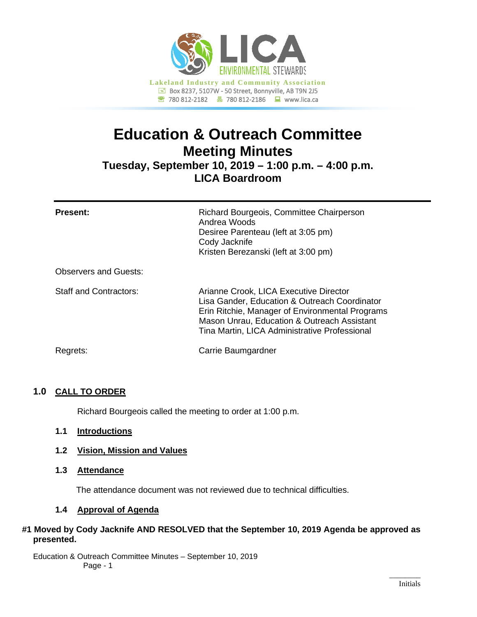

# **Education & Outreach Committee Meeting Minutes**

**Tuesday, September 10, 2019 – 1:00 p.m. – 4:00 p.m. LICA Boardroom**

| <b>Present:</b>               | Richard Bourgeois, Committee Chairperson<br>Andrea Woods<br>Desiree Parenteau (left at 3:05 pm)<br>Cody Jacknife<br>Kristen Berezanski (left at 3:00 pm)                                                                                   |
|-------------------------------|--------------------------------------------------------------------------------------------------------------------------------------------------------------------------------------------------------------------------------------------|
| <b>Observers and Guests:</b>  |                                                                                                                                                                                                                                            |
| <b>Staff and Contractors:</b> | Arianne Crook, LICA Executive Director<br>Lisa Gander, Education & Outreach Coordinator<br>Erin Ritchie, Manager of Environmental Programs<br>Mason Unrau, Education & Outreach Assistant<br>Tina Martin, LICA Administrative Professional |
| Regrets:                      | Carrie Baumgardner                                                                                                                                                                                                                         |

# **1.0 CALL TO ORDER**

Richard Bourgeois called the meeting to order at 1:00 p.m.

- **1.1 Introductions**
- **1.2 Vision, Mission and Values**
- **1.3 Attendance**

The attendance document was not reviewed due to technical difficulties.

# **1.4 Approval of Agenda**

# **#1 Moved by Cody Jacknife AND RESOLVED that the September 10, 2019 Agenda be approved as presented.**

Education & Outreach Committee Minutes – September 10, 2019 Page - 1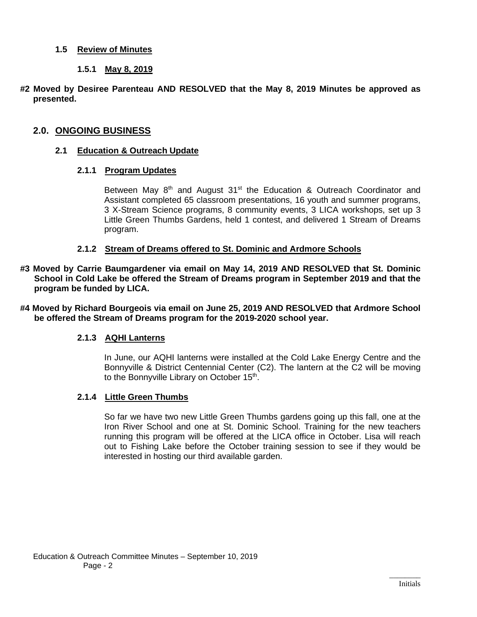# **1.5 Review of Minutes**

# **1.5.1 May 8, 2019**

**#2 Moved by Desiree Parenteau AND RESOLVED that the May 8, 2019 Minutes be approved as presented.**

## **2.0. ONGOING BUSINESS**

## **2.1 Education & Outreach Update**

## **2.1.1 Program Updates**

Between May  $8<sup>th</sup>$  and August 31<sup>st</sup> the Education & Outreach Coordinator and Assistant completed 65 classroom presentations, 16 youth and summer programs, 3 X-Stream Science programs, 8 community events, 3 LICA workshops, set up 3 Little Green Thumbs Gardens, held 1 contest, and delivered 1 Stream of Dreams program.

#### **2.1.2 Stream of Dreams offered to St. Dominic and Ardmore Schools**

**#3 Moved by Carrie Baumgardener via email on May 14, 2019 AND RESOLVED that St. Dominic School in Cold Lake be offered the Stream of Dreams program in September 2019 and that the program be funded by LICA.**

**#4 Moved by Richard Bourgeois via email on June 25, 2019 AND RESOLVED that Ardmore School be offered the Stream of Dreams program for the 2019-2020 school year.**

## **2.1.3 AQHI Lanterns**

In June, our AQHI lanterns were installed at the Cold Lake Energy Centre and the Bonnyville & District Centennial Center (C2). The lantern at the C2 will be moving to the Bonnyville Library on October 15<sup>th</sup>.

#### **2.1.4 Little Green Thumbs**

So far we have two new Little Green Thumbs gardens going up this fall, one at the Iron River School and one at St. Dominic School. Training for the new teachers running this program will be offered at the LICA office in October. Lisa will reach out to Fishing Lake before the October training session to see if they would be interested in hosting our third available garden.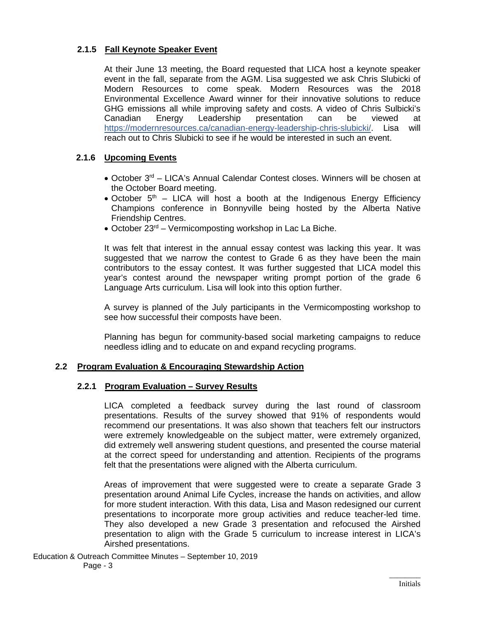# **2.1.5 Fall Keynote Speaker Event**

At their June 13 meeting, the Board requested that LICA host a keynote speaker event in the fall, separate from the AGM. Lisa suggested we ask Chris Slubicki of Modern Resources to come speak. Modern Resources was the 2018 Environmental Excellence Award winner for their innovative solutions to reduce GHG emissions all while improving safety and costs. A video of Chris Sulbicki's Canadian Energy Leadership presentation can be viewed at behaviors.<br>
https://modernresources.ca/canadian-energy-leadership-chris-slubicki/, Lisa will https://modernresources.ca/canadian-energy-leadership-chris-slubicki/. Lisa reach out to Chris Slubicki to see if he would be interested in such an event.

# **2.1.6 Upcoming Events**

- October 3rd LICA's Annual Calendar Contest closes. Winners will be chosen at the October Board meeting.
- October  $5<sup>th</sup>$  LICA will host a booth at the Indigenous Energy Efficiency Champions conference in Bonnyville being hosted by the Alberta Native Friendship Centres.
- October 23<sup>rd</sup> Vermicomposting workshop in Lac La Biche.

It was felt that interest in the annual essay contest was lacking this year. It was suggested that we narrow the contest to Grade 6 as they have been the main contributors to the essay contest. It was further suggested that LICA model this year's contest around the newspaper writing prompt portion of the grade 6 Language Arts curriculum. Lisa will look into this option further.

A survey is planned of the July participants in the Vermicomposting workshop to see how successful their composts have been.

Planning has begun for community-based social marketing campaigns to reduce needless idling and to educate on and expand recycling programs.

# **2.2 Program Evaluation & Encouraging Stewardship Action**

## **2.2.1 Program Evaluation – Survey Results**

LICA completed a feedback survey during the last round of classroom presentations. Results of the survey showed that 91% of respondents would recommend our presentations. It was also shown that teachers felt our instructors were extremely knowledgeable on the subject matter, were extremely organized, did extremely well answering student questions, and presented the course material at the correct speed for understanding and attention. Recipients of the programs felt that the presentations were aligned with the Alberta curriculum.

Areas of improvement that were suggested were to create a separate Grade 3 presentation around Animal Life Cycles, increase the hands on activities, and allow for more student interaction. With this data, Lisa and Mason redesigned our current presentations to incorporate more group activities and reduce teacher-led time. They also developed a new Grade 3 presentation and refocused the Airshed presentation to align with the Grade 5 curriculum to increase interest in LICA's Airshed presentations.

Education & Outreach Committee Minutes – September 10, 2019 Page - 3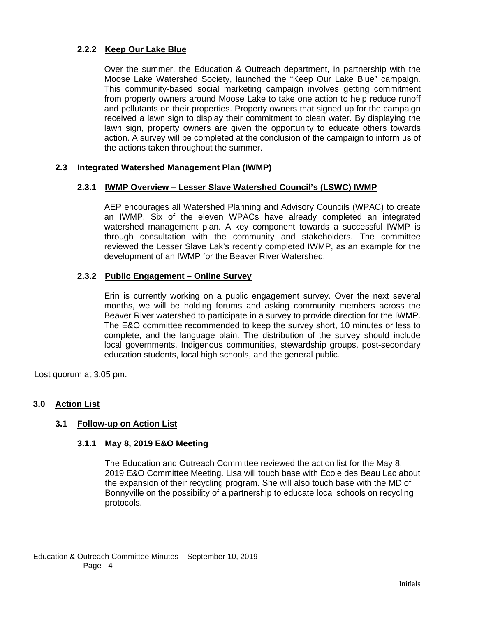# **2.2.2 Keep Our Lake Blue**

Over the summer, the Education & Outreach department, in partnership with the Moose Lake Watershed Society, launched the "Keep Our Lake Blue" campaign. This community-based social marketing campaign involves getting commitment from property owners around Moose Lake to take one action to help reduce runoff and pollutants on their properties. Property owners that signed up for the campaign received a lawn sign to display their commitment to clean water. By displaying the lawn sign, property owners are given the opportunity to educate others towards action. A survey will be completed at the conclusion of the campaign to inform us of the actions taken throughout the summer.

# **2.3 Integrated Watershed Management Plan (IWMP)**

## **2.3.1 IWMP Overview – Lesser Slave Watershed Council's (LSWC) IWMP**

AEP encourages all Watershed Planning and Advisory Councils (WPAC) to create an IWMP. Six of the eleven WPACs have already completed an integrated watershed management plan. A key component towards a successful IWMP is through consultation with the community and stakeholders. The committee reviewed the Lesser Slave Lak's recently completed IWMP, as an example for the development of an IWMP for the Beaver River Watershed.

# **2.3.2 Public Engagement – Online Survey**

Erin is currently working on a public engagement survey. Over the next several months, we will be holding forums and asking community members across the Beaver River watershed to participate in a survey to provide direction for the IWMP. The E&O committee recommended to keep the survey short, 10 minutes or less to complete, and the language plain. The distribution of the survey should include local governments, Indigenous communities, stewardship groups, post-secondary education students, local high schools, and the general public.

Lost quorum at 3:05 pm.

# **3.0 Action List**

# **3.1 Follow-up on Action List**

# **3.1.1 May 8, 2019 E&O Meeting**

The Education and Outreach Committee reviewed the action list for the May 8, 2019 E&O Committee Meeting. Lisa will touch base with École des Beau Lac about the expansion of their recycling program. She will also touch base with the MD of Bonnyville on the possibility of a partnership to educate local schools on recycling protocols.